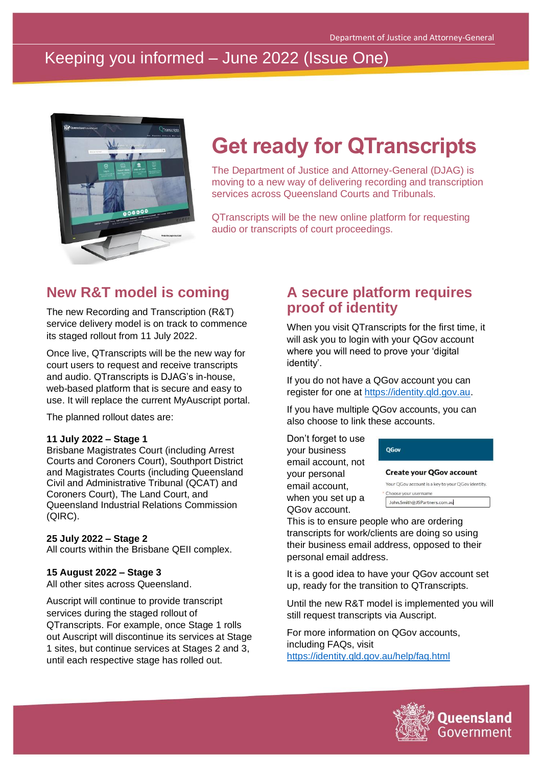# Keeping you informed – June 2022 (Issue One)



# **Get ready for QTranscripts**

The Department of Justice and Attorney-General (DJAG) is moving to a new way of delivering recording and transcription services across Queensland Courts and Tribunals.

QTranscripts will be the new online platform for requesting audio or transcripts of court proceedings.

### **New R&T model is coming**

The new Recording and Transcription (R&T) service delivery model is on track to commence its staged rollout from 11 July 2022.

Once live, QTranscripts will be the new way for court users to request and receive transcripts and audio. QTranscripts is DJAG's in-house, web-based platform that is secure and easy to use. It will replace the current MyAuscript portal.

The planned rollout dates are:

#### **11 July 2022 – Stage 1**

Brisbane Magistrates Court (including Arrest Courts and Coroners Court), Southport District and Magistrates Courts (including Queensland Civil and Administrative Tribunal (QCAT) and Coroners Court), The Land Court, and Queensland Industrial Relations Commission (QIRC).

#### **25 July 2022 – Stage 2**

All courts within the Brisbane QEII complex.

#### **15 August 2022 – Stage 3**

All other sites across Queensland.

Auscript will continue to provide transcript services during the staged rollout of QTranscripts. For example, once Stage 1 rolls out Auscript will discontinue its services at Stage 1 sites, but continue services at Stages 2 and 3, until each respective stage has rolled out.

#### **A secure platform requires proof of identity**

When you visit QTranscripts for the first time, it will ask you to login with your QGov account where you will need to prove your 'digital identity'.

If you do not have a QGov account you can register for one at [https://identity.qld.gov.au.](https://identity.qld.gov.au/)

If you have multiple QGov accounts, you can also choose to link these accounts.

Don't forget to use your business email account, not your personal email account, when you set up a QGov account.

| <b>QGov</b>                     |
|---------------------------------|
| <b>Create your QGov account</b> |

| John Smith@JSPartners.com.au                      |
|---------------------------------------------------|
| * Choose your username                            |
| Your QGov account is a key to your QGov identity. |

This is to ensure people who are ordering transcripts for work/clients are doing so using their business email address, opposed to their personal email address.

It is a good idea to have your QGov account set up, ready for the transition to QTranscripts.

Until the new R&T model is implemented you will still request transcripts via Auscript.

For more information on QGov accounts, including FAQs, visit <https://identity.qld.gov.au/help/faq.html>